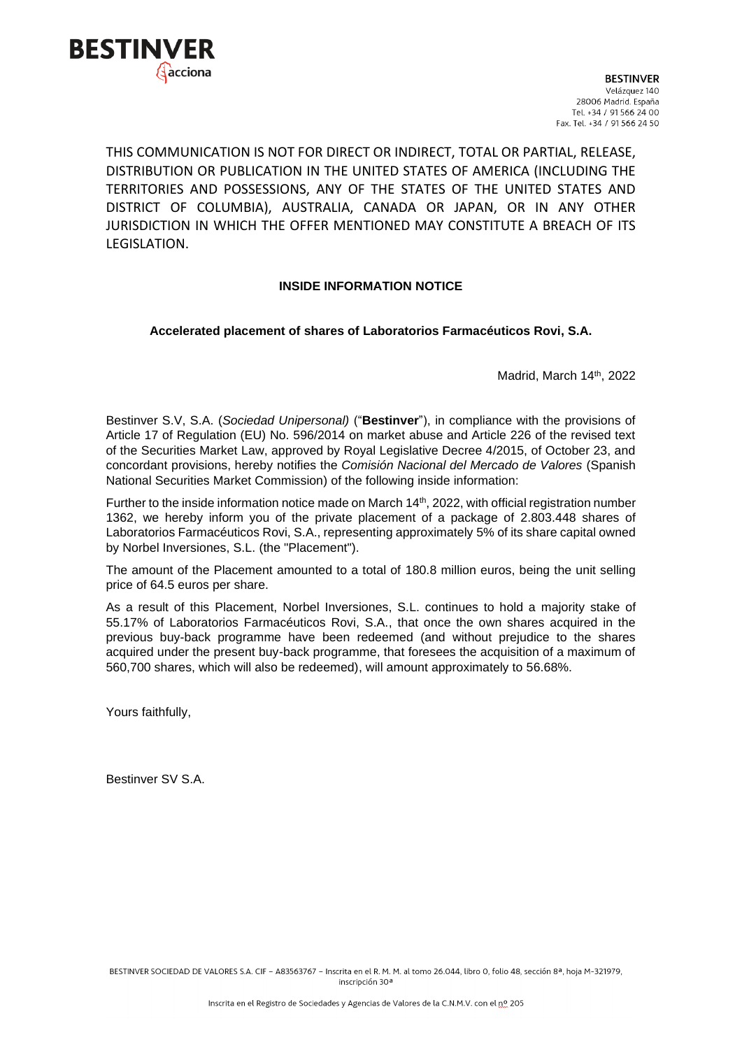

THIS COMMUNICATION IS NOT FOR DIRECT OR INDIRECT, TOTAL OR PARTIAL, RELEASE, DISTRIBUTION OR PUBLICATION IN THE UNITED STATES OF AMERICA (INCLUDING THE TERRITORIES AND POSSESSIONS, ANY OF THE STATES OF THE UNITED STATES AND DISTRICT OF COLUMBIA), AUSTRALIA, CANADA OR JAPAN, OR IN ANY OTHER JURISDICTION IN WHICH THE OFFER MENTIONED MAY CONSTITUTE A BREACH OF ITS LEGISLATION.

## **INSIDE INFORMATION NOTICE**

## **Accelerated placement of shares of Laboratorios Farmacéuticos Rovi, S.A.**

Madrid, March 14th, 2022

Bestinver S.V, S.A. (*Sociedad Unipersonal)* ("**Bestinver**"), in compliance with the provisions of Article 17 of Regulation (EU) No. 596/2014 on market abuse and Article 226 of the revised text of the Securities Market Law, approved by Royal Legislative Decree 4/2015, of October 23, and concordant provisions, hereby notifies the *Comisión Nacional del Mercado de Valores* (Spanish National Securities Market Commission) of the following inside information:

Further to the inside information notice made on March 14<sup>th</sup>, 2022, with official registration number 1362, we hereby inform you of the private placement of a package of 2.803.448 shares of Laboratorios Farmacéuticos Rovi, S.A., representing approximately 5% of its share capital owned by Norbel Inversiones, S.L. (the "Placement").

The amount of the Placement amounted to a total of 180.8 million euros, being the unit selling price of 64.5 euros per share.

As a result of this Placement, Norbel Inversiones, S.L. continues to hold a majority stake of 55.17% of Laboratorios Farmacéuticos Rovi, S.A., that once the own shares acquired in the previous buy-back programme have been redeemed (and without prejudice to the shares acquired under the present buy-back programme, that foresees the acquisition of a maximum of 560,700 shares, which will also be redeemed), will amount approximately to 56.68%.

Yours faithfully,

Bestinver SV S.A.